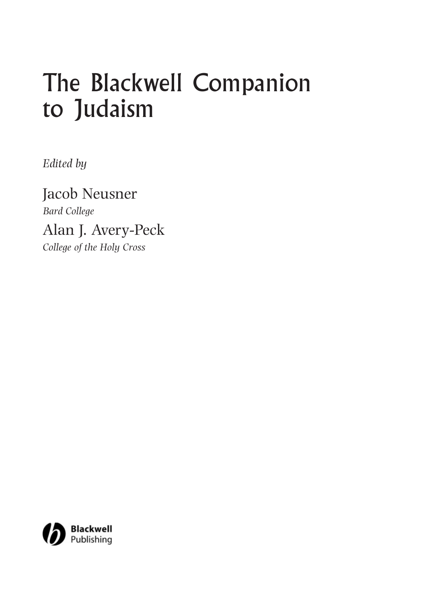# The Blackwell Companion to Judaism

*Edited by*

Jacob Neusner *Bard College* Alan J. Avery-Peck *College of the Holy Cross*

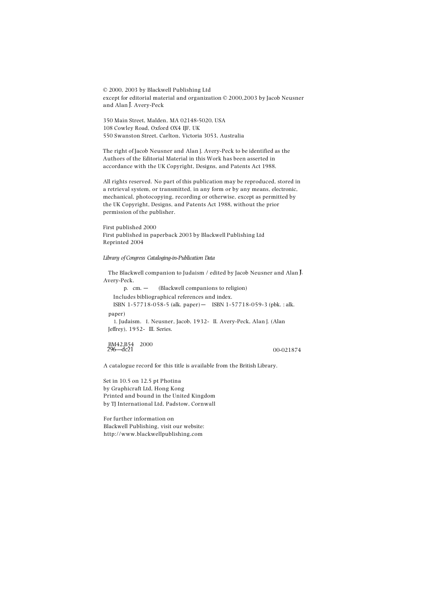© 2000, 2003 by Blackwell Publishing Ltd except for editorial material and organization © 2000,2003 by Jacob Neusner and Alan J. Avery-Peck

350 Main Street, Malden, MA 02148-5020, USA 108 Cowley Road, Oxford OX4 IJF, UK 550 Swanston Street, Carlton, Victoria 3053, Australia

The right of Jacob Neusner and Alan J. Avery-Peck to be identified as the Authors of the Editorial Material in this Work has been asserted in accordance with the UK Copyright, Designs, and Patents Act 1988.

All rights reserved. No part of this publication may be reproduced, stored in a retrieval system, or transmitted, in any form or by any means, electronic, mechanical, photocopying, recording or otherwise, except as permitted by the UK Copyright, Designs, and Patents Act 1988, without the prior permission of the publisher.

First published 2000 First published in paperback 2003 by Blackwell Publishing Ltd Reprinted 2004

*Library ofCongress Cataloging-in-Publication Data*

The Blackwell companion to Judaism / edited by Jacob Neusner and Alan J. Avery-Peck. p. cm. — (Blackwell companions to religion) Includes bibliographical references and index. ISBN 1-57718-058-5 (alk. paper)— ISBN 1-57718-059-3 (pbk. : alk. paper) 1. Judaism. I. Neusner, Jacob, 1932- II. Avery-Peck, Alan J. (Alan Jeffrey), 1952- III. Series.

BM42.B54 2000<br>296----dc21

00-021874

A catalogue record for this title is available from the British Library.

Set in 10.5 on 12.5 pt Photina by Graphicraft Ltd, Hong Kong Printed and bound in the United Kingdom by TJ International Ltd, Padstow, Cornwall

For further information on Blackwell Publishing, visit our website: http://www.blackwellpublishing.com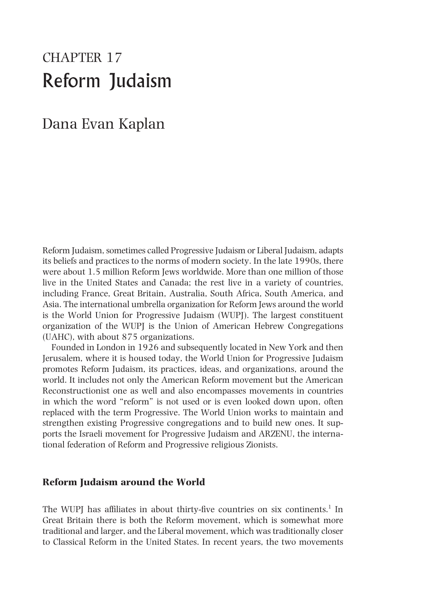# CHAPTER 17 Reform Judaism

# Dana Evan Kaplan

Reform Judaism, sometimes called Progressive Judaism or Liberal Judaism, adapts its beliefs and practices to the norms of modern society. In the late 1990s, there were about 1.5 million Reform Jews worldwide. More than one million of those live in the United States and Canada; the rest live in a variety of countries, including France, Great Britain, Australia, South Africa, South America, and Asia. The international umbrella organization for Reform Jews around the world is the World Union for Progressive Judaism (WUPJ). The largest constituent organization of the WUPJ is the Union of American Hebrew Congregations (UAHC), with about 875 organizations.

Founded in London in 1926 and subsequently located in New York and then Jerusalem, where it is housed today, the World Union for Progressive Judaism promotes Reform Judaism, its practices, ideas, and organizations, around the world. It includes not only the American Reform movement but the American Reconstructionist one as well and also encompasses movements in countries in which the word "reform" is not used or is even looked down upon, often replaced with the term Progressive. The World Union works to maintain and strengthen existing Progressive congregations and to build new ones. It supports the Israeli movement for Progressive Judaism and ARZENU, the international federation of Reform and Progressive religious Zionists.

# **Reform Judaism around the World**

The WUPJ has affiliates in about thirty-five countries on six continents. $^1$  In Great Britain there is both the Reform movement, which is somewhat more traditional and larger, and the Liberal movement, which was traditionally closer to Classical Reform in the United States. In recent years, the two movements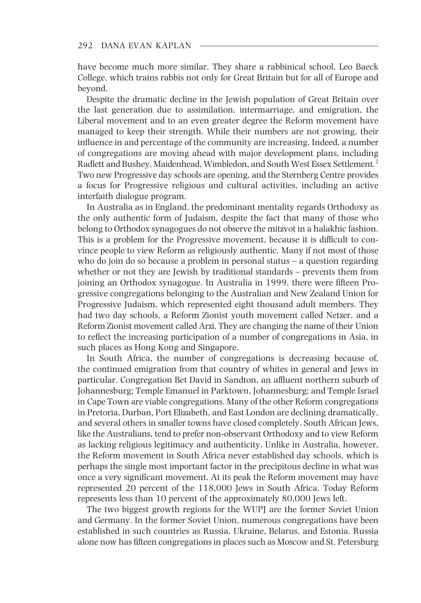### 292 DANA EVAN KAPLAN

have become much more similar. They share a rabbinical school, Leo Baeck College, which trains rabbis not only for Great Britain but for all of Europe and beyond.

Despite the dramatic decline in the Jewish population of Great Britain over the last generation due to assimilation, intermarriage, and emigration, the Liberal movement and to an even greater degree the Reform movement have managed to keep their strength. While their numbers are not growing, their influence in and percentage of the community are increasing. Indeed, a number of congregations are moving ahead with major development plans, including Radlett and Bushey, Maidenhead, Wimbledon, and South West Essex Settlement.2 Two new Progressive day schools are opening, and the Sternberg Centre provides a focus for Progressive religious and cultural activities, including an active interfaith dialogue program.

In Australia as in England, the predominant mentality regards Orthodoxy as the only authentic form of Judaism, despite the fact that many of those who belong to Orthodox synagogues do not observe the mitzvot in a halakhic fashion. This is a problem for the Progressive movement, because it is difficult to convince people to view Reform as religiously authentic. Many if not most of those who do join do so because a problem in personal status – a question regarding whether or not they are Jewish by traditional standards – prevents them from joining an Orthodox synagogue. In Australia in 1999, there were fifteen Progressive congregations belonging to the Australian and New Zealand Union for Progressive Judaism, which represented eight thousand adult members. They had two day schools, a Reform Zionist youth movement called Netzer, and a Reform Zionist movement called Arzi. They are changing the name of their Union to reflect the increasing participation of a number of congregations in Asia, in such places as Hong Kong and Singapore.

In South Africa, the number of congregations is decreasing because of, the continued emigration from that country of whites in general and Jews in particular. Congregation Bet David in Sandton, an affluent northern suburb of Johannesburg; Temple Emanuel in Parktown, Johannesburg; and Temple Israel in Cape Town are viable congregations. Many of the other Reform congregations in Pretoria, Durban, Port Elizabeth, and East London are declining dramatically, and several others in smaller towns have closed completely. South African Jews, like the Australians, tend to prefer non-observant Orthodoxy and to view Reform as lacking religious legitimacy and authenticity. Unlike in Australia, however, the Reform movement in South Africa never established day schools, which is perhaps the single most important factor in the precipitous decline in what was once a very significant movement. At its peak the Reform movement may have represented 20 percent of the 118,000 Jews in South Africa. Today Reform represents less than 10 percent of the approximately 80,000 Jews left.

The two biggest growth regions for the WUPJ are the former Soviet Union and Germany. In the former Soviet Union, numerous congregations have been established in such countries as Russia, Ukraine, Belarus, and Estonia. Russia alone now has fifteen congregations in places such as Moscow and St. Petersburg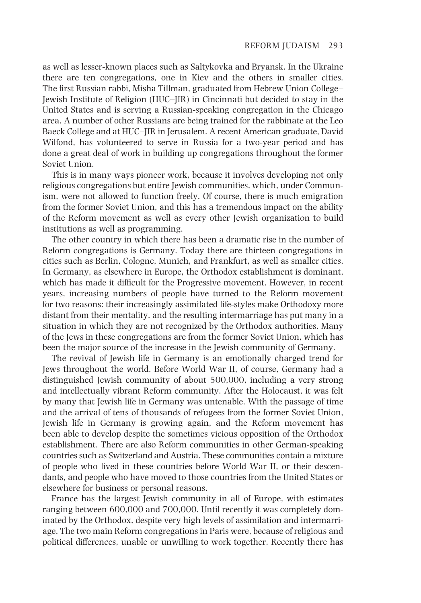as well as lesser-known places such as Saltykovka and Bryansk. In the Ukraine there are ten congregations, one in Kiev and the others in smaller cities. The first Russian rabbi, Misha Tillman, graduated from Hebrew Union College– Jewish Institute of Religion (HUC–JIR) in Cincinnati but decided to stay in the United States and is serving a Russian-speaking congregation in the Chicago area. A number of other Russians are being trained for the rabbinate at the Leo Baeck College and at HUC–JIR in Jerusalem. A recent American graduate, David Wilfond, has volunteered to serve in Russia for a two-year period and has done a great deal of work in building up congregations throughout the former Soviet Union.

This is in many ways pioneer work, because it involves developing not only religious congregations but entire Jewish communities, which, under Communism, were not allowed to function freely. Of course, there is much emigration from the former Soviet Union, and this has a tremendous impact on the ability of the Reform movement as well as every other Jewish organization to build institutions as well as programming.

The other country in which there has been a dramatic rise in the number of Reform congregations is Germany. Today there are thirteen congregations in cities such as Berlin, Cologne, Munich, and Frankfurt, as well as smaller cities. In Germany, as elsewhere in Europe, the Orthodox establishment is dominant, which has made it difficult for the Progressive movement. However, in recent years, increasing numbers of people have turned to the Reform movement for two reasons: their increasingly assimilated life-styles make Orthodoxy more distant from their mentality, and the resulting intermarriage has put many in a situation in which they are not recognized by the Orthodox authorities. Many of the Jews in these congregations are from the former Soviet Union, which has been the major source of the increase in the Jewish community of Germany.

The revival of Jewish life in Germany is an emotionally charged trend for Jews throughout the world. Before World War II, of course, Germany had a distinguished Jewish community of about 500,000, including a very strong and intellectually vibrant Reform community. After the Holocaust, it was felt by many that Jewish life in Germany was untenable. With the passage of time and the arrival of tens of thousands of refugees from the former Soviet Union, Jewish life in Germany is growing again, and the Reform movement has been able to develop despite the sometimes vicious opposition of the Orthodox establishment. There are also Reform communities in other German-speaking countries such as Switzerland and Austria. These communities contain a mixture of people who lived in these countries before World War II, or their descendants, and people who have moved to those countries from the United States or elsewhere for business or personal reasons.

France has the largest Jewish community in all of Europe, with estimates ranging between 600,000 and 700,000. Until recently it was completely dominated by the Orthodox, despite very high levels of assimilation and intermarriage. The two main Reform congregations in Paris were, because of religious and political differences, unable or unwilling to work together. Recently there has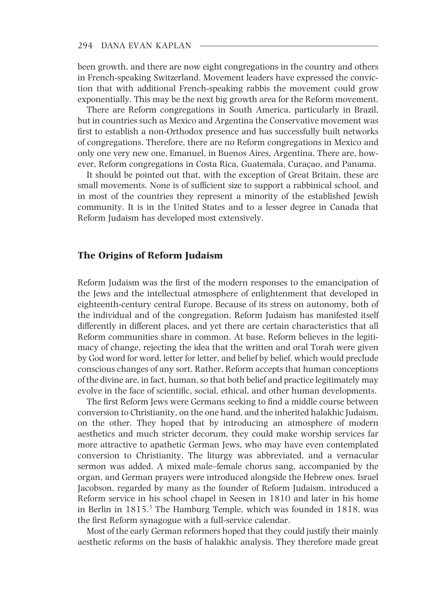been growth, and there are now eight congregations in the country and others in French-speaking Switzerland. Movement leaders have expressed the conviction that with additional French-speaking rabbis the movement could grow exponentially. This may be the next big growth area for the Reform movement.

There are Reform congregations in South America, particularly in Brazil, but in countries such as Mexico and Argentina the Conservative movement was first to establish a non-Orthodox presence and has successfully built networks of congregations. Therefore, there are no Reform congregations in Mexico and only one very new one, Emanuel, in Buenos Aires, Argentina. There are, however, Reform congregations in Costa Rica, Guatemala, Curaçao, and Panama.

It should be pointed out that, with the exception of Great Britain, these are small movements. None is of sufficient size to support a rabbinical school, and in most of the countries they represent a minority of the established Jewish community. It is in the United States and to a lesser degree in Canada that Reform Judaism has developed most extensively.

### **The Origins of Reform Judaism**

Reform Judaism was the first of the modern responses to the emancipation of the Jews and the intellectual atmosphere of enlightenment that developed in eighteenth-century central Europe. Because of its stress on autonomy, both of the individual and of the congregation, Reform Judaism has manifested itself differently in different places, and yet there are certain characteristics that all Reform communities share in common. At base, Reform believes in the legitimacy of change, rejecting the idea that the written and oral Torah were given by God word for word, letter for letter, and belief by belief, which would preclude conscious changes of any sort. Rather, Reform accepts that human conceptions of the divine are, in fact, human, so that both belief and practice legitimately may evolve in the face of scientific, social, ethical, and other human developments.

The first Reform Jews were Germans seeking to find a middle course between conversion to Christianity, on the one hand, and the inherited halakhic Judaism, on the other. They hoped that by introducing an atmosphere of modern aesthetics and much stricter decorum, they could make worship services far more attractive to apathetic German Jews, who may have even contemplated conversion to Christianity. The liturgy was abbreviated, and a vernacular sermon was added. A mixed male–female chorus sang, accompanied by the organ, and German prayers were introduced alongside the Hebrew ones. Israel Jacobson, regarded by many as the founder of Reform Judaism, introduced a Reform service in his school chapel in Seesen in 1810 and later in his home in Berlin in 1815.<sup>3</sup> The Hamburg Temple, which was founded in 1818, was the first Reform synagogue with a full-service calendar.

Most of the early German reformers hoped that they could justify their mainly aesthetic reforms on the basis of halakhic analysis. They therefore made great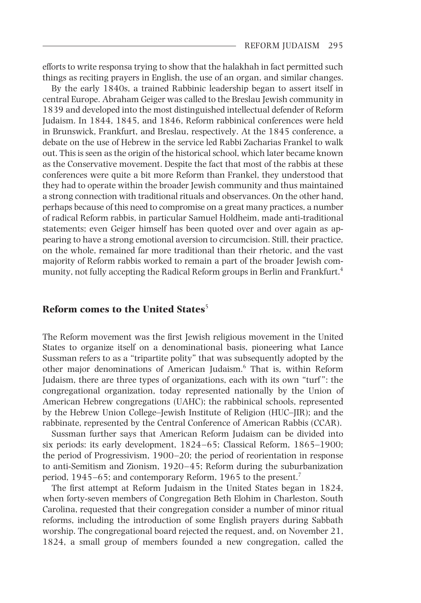efforts to write responsa trying to show that the halakhah in fact permitted such things as reciting prayers in English, the use of an organ, and similar changes.

By the early 1840s, a trained Rabbinic leadership began to assert itself in central Europe. Abraham Geiger was called to the Breslau Jewish community in 1839 and developed into the most distinguished intellectual defender of Reform Judaism. In 1844, 1845, and 1846, Reform rabbinical conferences were held in Brunswick, Frankfurt, and Breslau, respectively. At the 1845 conference, a debate on the use of Hebrew in the service led Rabbi Zacharias Frankel to walk out. This is seen as the origin of the historical school, which later became known as the Conservative movement. Despite the fact that most of the rabbis at these conferences were quite a bit more Reform than Frankel, they understood that they had to operate within the broader Jewish community and thus maintained a strong connection with traditional rituals and observances. On the other hand, perhaps because of this need to compromise on a great many practices, a number of radical Reform rabbis, in particular Samuel Holdheim, made anti-traditional statements; even Geiger himself has been quoted over and over again as appearing to have a strong emotional aversion to circumcision. Still, their practice, on the whole, remained far more traditional than their rhetoric, and the vast majority of Reform rabbis worked to remain a part of the broader Jewish community, not fully accepting the Radical Reform groups in Berlin and Frankfurt.4

# **Reform comes to the United States**<sup>5</sup>

The Reform movement was the first Jewish religious movement in the United States to organize itself on a denominational basis, pioneering what Lance Sussman refers to as a "tripartite polity" that was subsequently adopted by the other major denominations of American Judaism.<sup>6</sup> That is, within Reform Judaism, there are three types of organizations, each with its own "turf ": the congregational organization, today represented nationally by the Union of American Hebrew congregations (UAHC); the rabbinical schools, represented by the Hebrew Union College–Jewish Institute of Religion (HUC–JIR); and the rabbinate, represented by the Central Conference of American Rabbis (CCAR).

Sussman further says that American Reform Judaism can be divided into six periods: its early development, 1824–65; Classical Reform, 1865–1900; the period of Progressivism, 1900–20; the period of reorientation in response to anti-Semitism and Zionism, 1920–45; Reform during the suburbanization period, 1945–65; and contemporary Reform, 1965 to the present.7

The first attempt at Reform Judaism in the United States began in 1824, when forty-seven members of Congregation Beth Elohim in Charleston, South Carolina, requested that their congregation consider a number of minor ritual reforms, including the introduction of some English prayers during Sabbath worship. The congregational board rejected the request, and, on November 21, 1824, a small group of members founded a new congregation, called the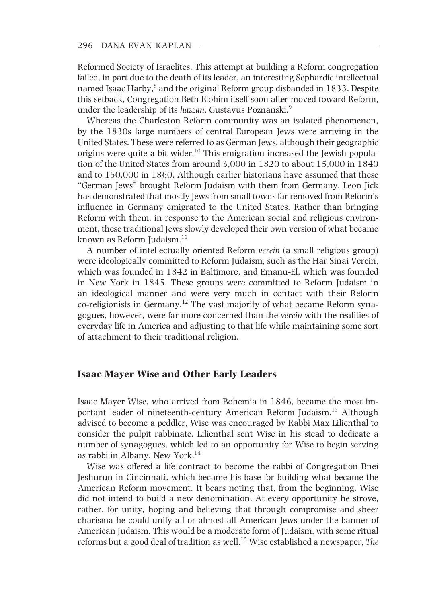Reformed Society of Israelites. This attempt at building a Reform congregation failed, in part due to the death of its leader, an interesting Sephardic intellectual named Isaac Harby,<sup>8</sup> and the original Reform group disbanded in 1833. Despite this setback, Congregation Beth Elohim itself soon after moved toward Reform, under the leadership of its *hazzan*, Gustavus Poznanski.<sup>9</sup>

Whereas the Charleston Reform community was an isolated phenomenon, by the 1830s large numbers of central European Jews were arriving in the United States. These were referred to as German Jews, although their geographic origins were quite a bit wider.<sup>10</sup> This emigration increased the Jewish population of the United States from around 3,000 in 1820 to about 15,000 in 1840 and to 150,000 in 1860. Although earlier historians have assumed that these "German Jews" brought Reform Judaism with them from Germany, Leon Jick has demonstrated that mostly Jews from small towns far removed from Reform's influence in Germany emigrated to the United States. Rather than bringing Reform with them, in response to the American social and religious environment, these traditional Jews slowly developed their own version of what became known as Reform Judaism.<sup>11</sup>

A number of intellectually oriented Reform *verein* (a small religious group) were ideologically committed to Reform Judaism, such as the Har Sinai Verein, which was founded in 1842 in Baltimore, and Emanu-El, which was founded in New York in 1845. These groups were committed to Reform Judaism in an ideological manner and were very much in contact with their Reform co-religionists in Germany.<sup>12</sup> The vast majority of what became Reform synagogues, however, were far more concerned than the *verein* with the realities of everyday life in America and adjusting to that life while maintaining some sort of attachment to their traditional religion.

# **Isaac Mayer Wise and Other Early Leaders**

Isaac Mayer Wise, who arrived from Bohemia in 1846, became the most important leader of nineteenth-century American Reform Judaism.<sup>13</sup> Although advised to become a peddler, Wise was encouraged by Rabbi Max Lilienthal to consider the pulpit rabbinate. Lilienthal sent Wise in his stead to dedicate a number of synagogues, which led to an opportunity for Wise to begin serving as rabbi in Albany, New York.<sup>14</sup>

Wise was offered a life contract to become the rabbi of Congregation Bnei Jeshurun in Cincinnati, which became his base for building what became the American Reform movement. It bears noting that, from the beginning, Wise did not intend to build a new denomination. At every opportunity he strove, rather, for unity, hoping and believing that through compromise and sheer charisma he could unify all or almost all American Jews under the banner of American Judaism. This would be a moderate form of Judaism, with some ritual reforms but a good deal of tradition as well.15 Wise established a newspaper, *The*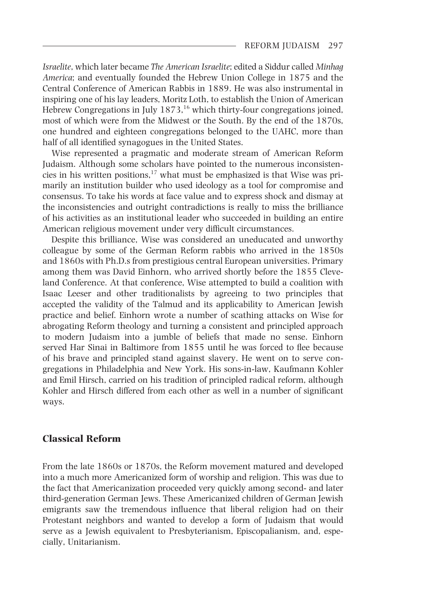*Israelite*, which later became *The American Israelite*; edited a Siddur called *Minhag America*; and eventually founded the Hebrew Union College in 1875 and the Central Conference of American Rabbis in 1889. He was also instrumental in inspiring one of his lay leaders, Moritz Loth, to establish the Union of American Hebrew Congregations in July  $1873<sup>16</sup>$  which thirty-four congregations joined, most of which were from the Midwest or the South. By the end of the 1870s, one hundred and eighteen congregations belonged to the UAHC, more than half of all identified synagogues in the United States.

Wise represented a pragmatic and moderate stream of American Reform Judaism. Although some scholars have pointed to the numerous inconsistencies in his written positions, $17$  what must be emphasized is that Wise was primarily an institution builder who used ideology as a tool for compromise and consensus. To take his words at face value and to express shock and dismay at the inconsistencies and outright contradictions is really to miss the brilliance of his activities as an institutional leader who succeeded in building an entire American religious movement under very difficult circumstances.

Despite this brilliance, Wise was considered an uneducated and unworthy colleague by some of the German Reform rabbis who arrived in the 1850s and 1860s with Ph.D.s from prestigious central European universities. Primary among them was David Einhorn, who arrived shortly before the 1855 Cleveland Conference. At that conference, Wise attempted to build a coalition with Isaac Leeser and other traditionalists by agreeing to two principles that accepted the validity of the Talmud and its applicability to American Jewish practice and belief. Einhorn wrote a number of scathing attacks on Wise for abrogating Reform theology and turning a consistent and principled approach to modern Judaism into a jumble of beliefs that made no sense. Einhorn served Har Sinai in Baltimore from 1855 until he was forced to flee because of his brave and principled stand against slavery. He went on to serve congregations in Philadelphia and New York. His sons-in-law, Kaufmann Kohler and Emil Hirsch, carried on his tradition of principled radical reform, although Kohler and Hirsch differed from each other as well in a number of significant ways.

# **Classical Reform**

From the late 1860s or 1870s, the Reform movement matured and developed into a much more Americanized form of worship and religion. This was due to the fact that Americanization proceeded very quickly among second- and later third-generation German Jews. These Americanized children of German Jewish emigrants saw the tremendous influence that liberal religion had on their Protestant neighbors and wanted to develop a form of Judaism that would serve as a Jewish equivalent to Presbyterianism, Episcopalianism, and, especially, Unitarianism.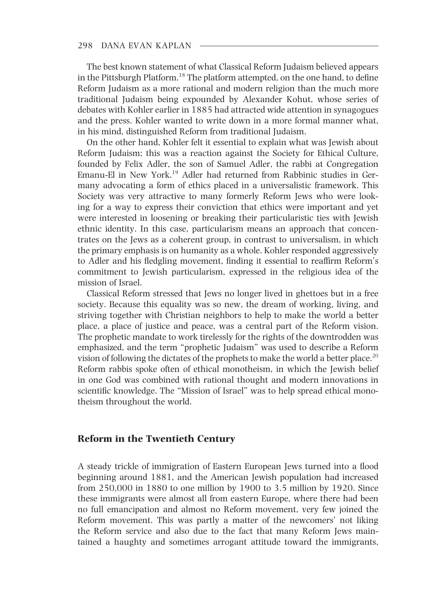The best known statement of what Classical Reform Judaism believed appears in the Pittsburgh Platform.<sup>18</sup> The platform attempted, on the one hand, to define Reform Judaism as a more rational and modern religion than the much more traditional Judaism being expounded by Alexander Kohut, whose series of debates with Kohler earlier in 1885 had attracted wide attention in synagogues and the press. Kohler wanted to write down in a more formal manner what, in his mind, distinguished Reform from traditional Judaism.

On the other hand, Kohler felt it essential to explain what was Jewish about Reform Judaism; this was a reaction against the Society for Ethical Culture, founded by Felix Adler, the son of Samuel Adler, the rabbi at Congregation Emanu-El in New York.<sup>19</sup> Adler had returned from Rabbinic studies in Germany advocating a form of ethics placed in a universalistic framework. This Society was very attractive to many formerly Reform Jews who were looking for a way to express their conviction that ethics were important and yet were interested in loosening or breaking their particularistic ties with Jewish ethnic identity. In this case, particularism means an approach that concentrates on the Jews as a coherent group, in contrast to universalism, in which the primary emphasis is on humanity as a whole. Kohler responded aggressively to Adler and his fledgling movement, finding it essential to reaffirm Reform's commitment to Jewish particularism, expressed in the religious idea of the mission of Israel.

Classical Reform stressed that Jews no longer lived in ghettoes but in a free society. Because this equality was so new, the dream of working, living, and striving together with Christian neighbors to help to make the world a better place, a place of justice and peace, was a central part of the Reform vision. The prophetic mandate to work tirelessly for the rights of the downtrodden was emphasized, and the term "prophetic Judaism" was used to describe a Reform vision of following the dictates of the prophets to make the world a better place.<sup>20</sup> Reform rabbis spoke often of ethical monotheism, in which the Jewish belief in one God was combined with rational thought and modern innovations in scientific knowledge. The "Mission of Israel" was to help spread ethical monotheism throughout the world.

# **Reform in the Twentieth Century**

A steady trickle of immigration of Eastern European Jews turned into a flood beginning around 1881, and the American Jewish population had increased from 250,000 in 1880 to one million by 1900 to 3.5 million by 1920. Since these immigrants were almost all from eastern Europe, where there had been no full emancipation and almost no Reform movement, very few joined the Reform movement. This was partly a matter of the newcomers' not liking the Reform service and also due to the fact that many Reform Jews maintained a haughty and sometimes arrogant attitude toward the immigrants,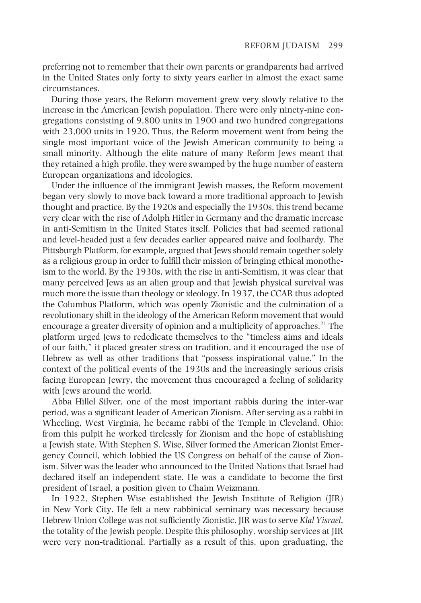preferring not to remember that their own parents or grandparents had arrived in the United States only forty to sixty years earlier in almost the exact same circumstances.

During those years, the Reform movement grew very slowly relative to the increase in the American Jewish population. There were only ninety-nine congregations consisting of 9,800 units in 1900 and two hundred congregations with 23,000 units in 1920. Thus, the Reform movement went from being the single most important voice of the Jewish American community to being a small minority. Although the elite nature of many Reform Jews meant that they retained a high profile, they were swamped by the huge number of eastern European organizations and ideologies.

Under the influence of the immigrant Jewish masses, the Reform movement began very slowly to move back toward a more traditional approach to Jewish thought and practice. By the 1920s and especially the 1930s, this trend became very clear with the rise of Adolph Hitler in Germany and the dramatic increase in anti-Semitism in the United States itself. Policies that had seemed rational and level-headed just a few decades earlier appeared naive and foolhardy. The Pittsburgh Platform, for example, argued that Jews should remain together solely as a religious group in order to fulfill their mission of bringing ethical monotheism to the world. By the 1930s, with the rise in anti-Semitism, it was clear that many perceived Jews as an alien group and that Jewish physical survival was much more the issue than theology or ideology. In 1937, the CCAR thus adopted the Columbus Platform, which was openly Zionistic and the culmination of a revolutionary shift in the ideology of the American Reform movement that would encourage a greater diversity of opinion and a multiplicity of approaches. $^{21}$  The platform urged Jews to rededicate themselves to the "timeless aims and ideals of our faith," it placed greater stress on tradition, and it encouraged the use of Hebrew as well as other traditions that "possess inspirational value." In the context of the political events of the 1930s and the increasingly serious crisis facing European Jewry, the movement thus encouraged a feeling of solidarity with Jews around the world.

Abba Hillel Silver, one of the most important rabbis during the inter-war period, was a significant leader of American Zionism. After serving as a rabbi in Wheeling, West Virginia, he became rabbi of the Temple in Cleveland, Ohio; from this pulpit he worked tirelessly for Zionism and the hope of establishing a Jewish state. With Stephen S. Wise, Silver formed the American Zionist Emergency Council, which lobbied the US Congress on behalf of the cause of Zionism. Silver was the leader who announced to the United Nations that Israel had declared itself an independent state. He was a candidate to become the first president of Israel, a position given to Chaim Weizmann.

In 1922, Stephen Wise established the Jewish Institute of Religion (JIR) in New York City. He felt a new rabbinical seminary was necessary because Hebrew Union College was not sufficiently Zionistic. JIR was to serve *Klal Yisrael*, the totality of the Jewish people. Despite this philosophy, worship services at JIR were very non-traditional. Partially as a result of this, upon graduating, the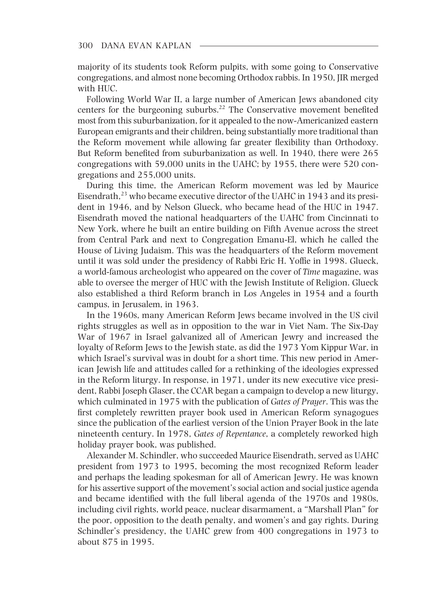majority of its students took Reform pulpits, with some going to Conservative congregations, and almost none becoming Orthodox rabbis. In 1950, JIR merged with HUC.

Following World War II, a large number of American Jews abandoned city centers for the burgeoning suburbs.<sup>22</sup> The Conservative movement benefited most from this suburbanization, for it appealed to the now-Americanized eastern European emigrants and their children, being substantially more traditional than the Reform movement while allowing far greater flexibility than Orthodoxy. But Reform benefited from suburbanization as well. In 1940, there were 265 congregations with 59,000 units in the UAHC; by 1955, there were 520 congregations and 255,000 units.

During this time, the American Reform movement was led by Maurice Eisendrath, $^{23}$  who became executive director of the UAHC in 1943 and its president in 1946, and by Nelson Glueck, who became head of the HUC in 1947. Eisendrath moved the national headquarters of the UAHC from Cincinnati to New York, where he built an entire building on Fifth Avenue across the street from Central Park and next to Congregation Emanu-El, which he called the House of Living Judaism. This was the headquarters of the Reform movement until it was sold under the presidency of Rabbi Eric H. Yoffie in 1998. Glueck, a world-famous archeologist who appeared on the cover of *Time* magazine, was able to oversee the merger of HUC with the Jewish Institute of Religion. Glueck also established a third Reform branch in Los Angeles in 1954 and a fourth campus, in Jerusalem, in 1963.

In the 1960s, many American Reform Jews became involved in the US civil rights struggles as well as in opposition to the war in Viet Nam. The Six-Day War of 1967 in Israel galvanized all of American Jewry and increased the loyalty of Reform Jews to the Jewish state, as did the 1973 Yom Kippur War, in which Israel's survival was in doubt for a short time. This new period in American Jewish life and attitudes called for a rethinking of the ideologies expressed in the Reform liturgy. In response, in 1971, under its new executive vice president, Rabbi Joseph Glaser, the CCAR began a campaign to develop a new liturgy, which culminated in 1975 with the publication of *Gates of Prayer*. This was the first completely rewritten prayer book used in American Reform synagogues since the publication of the earliest version of the Union Prayer Book in the late nineteenth century. In 1978, *Gates of Repentance*, a completely reworked high holiday prayer book, was published.

Alexander M. Schindler, who succeeded Maurice Eisendrath, served as UAHC president from 1973 to 1995, becoming the most recognized Reform leader and perhaps the leading spokesman for all of American Jewry. He was known for his assertive support of the movement's social action and social justice agenda and became identified with the full liberal agenda of the 1970s and 1980s, including civil rights, world peace, nuclear disarmament, a "Marshall Plan" for the poor, opposition to the death penalty, and women's and gay rights. During Schindler's presidency, the UAHC grew from 400 congregations in 1973 to about 875 in 1995.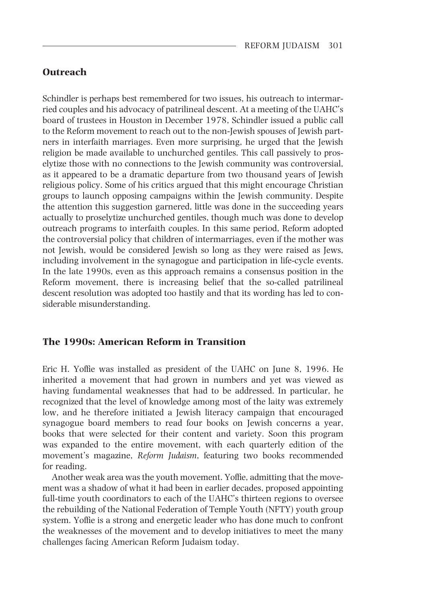# **Outreach**

Schindler is perhaps best remembered for two issues, his outreach to intermarried couples and his advocacy of patrilineal descent. At a meeting of the UAHC's board of trustees in Houston in December 1978, Schindler issued a public call to the Reform movement to reach out to the non-Jewish spouses of Jewish partners in interfaith marriages. Even more surprising, he urged that the Jewish religion be made available to unchurched gentiles. This call passively to proselytize those with no connections to the Jewish community was controversial, as it appeared to be a dramatic departure from two thousand years of Jewish religious policy. Some of his critics argued that this might encourage Christian groups to launch opposing campaigns within the Jewish community. Despite the attention this suggestion garnered, little was done in the succeeding years actually to proselytize unchurched gentiles, though much was done to develop outreach programs to interfaith couples. In this same period, Reform adopted the controversial policy that children of intermarriages, even if the mother was not Jewish, would be considered Jewish so long as they were raised as Jews, including involvement in the synagogue and participation in life-cycle events. In the late 1990s, even as this approach remains a consensus position in the Reform movement, there is increasing belief that the so-called patrilineal descent resolution was adopted too hastily and that its wording has led to considerable misunderstanding.

# **The 1990s: American Reform in Transition**

Eric H. Yoffie was installed as president of the UAHC on June 8, 1996. He inherited a movement that had grown in numbers and yet was viewed as having fundamental weaknesses that had to be addressed. In particular, he recognized that the level of knowledge among most of the laity was extremely low, and he therefore initiated a Jewish literacy campaign that encouraged synagogue board members to read four books on Jewish concerns a year, books that were selected for their content and variety. Soon this program was expanded to the entire movement, with each quarterly edition of the movement's magazine, *Reform Judaism*, featuring two books recommended for reading.

Another weak area was the youth movement. Yoffie, admitting that the movement was a shadow of what it had been in earlier decades, proposed appointing full-time youth coordinators to each of the UAHC's thirteen regions to oversee the rebuilding of the National Federation of Temple Youth (NFTY) youth group system. Yoffie is a strong and energetic leader who has done much to confront the weaknesses of the movement and to develop initiatives to meet the many challenges facing American Reform Judaism today.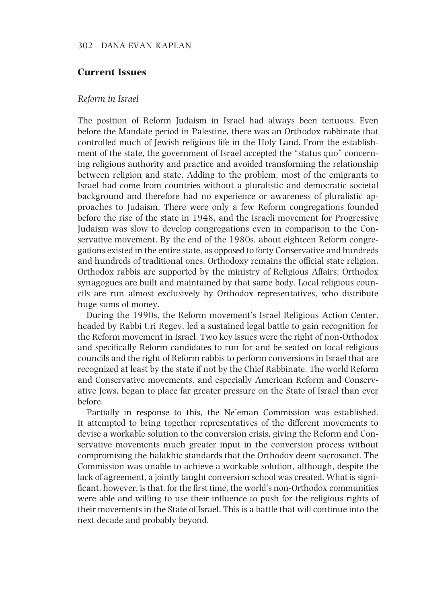# **Current Issues**

# *Reform in Israel*

The position of Reform Judaism in Israel had always been tenuous. Even before the Mandate period in Palestine, there was an Orthodox rabbinate that controlled much of Jewish religious life in the Holy Land. From the establishment of the state, the government of Israel accepted the "status quo" concerning religious authority and practice and avoided transforming the relationship between religion and state. Adding to the problem, most of the emigrants to Israel had come from countries without a pluralistic and democratic societal background and therefore had no experience or awareness of pluralistic approaches to Judaism. There were only a few Reform congregations founded before the rise of the state in 1948, and the Israeli movement for Progressive Judaism was slow to develop congregations even in comparison to the Conservative movement. By the end of the 1980s, about eighteen Reform congregations existed in the entire state, as opposed to forty Conservative and hundreds and hundreds of traditional ones. Orthodoxy remains the official state religion. Orthodox rabbis are supported by the ministry of Religious Affairs; Orthodox synagogues are built and maintained by that same body. Local religious councils are run almost exclusively by Orthodox representatives, who distribute huge sums of money.

During the 1990s, the Reform movement's Israel Religious Action Center, headed by Rabbi Uri Regev, led a sustained legal battle to gain recognition for the Reform movement in Israel. Two key issues were the right of non-Orthodox and specifically Reform candidates to run for and be seated on local religious councils and the right of Reform rabbis to perform conversions in Israel that are recognized at least by the state if not by the Chief Rabbinate. The world Reform and Conservative movements, and especially American Reform and Conservative Jews, began to place far greater pressure on the State of Israel than ever before.

Partially in response to this, the Ne'eman Commission was established. It attempted to bring together representatives of the different movements to devise a workable solution to the conversion crisis, giving the Reform and Conservative movements much greater input in the conversion process without compromising the halakhic standards that the Orthodox deem sacrosanct. The Commission was unable to achieve a workable solution, although, despite the lack of agreement, a jointly taught conversion school was created. What is significant, however, is that, for the first time, the world's non-Orthodox communities were able and willing to use their influence to push for the religious rights of their movements in the State of Israel. This is a battle that will continue into the next decade and probably beyond.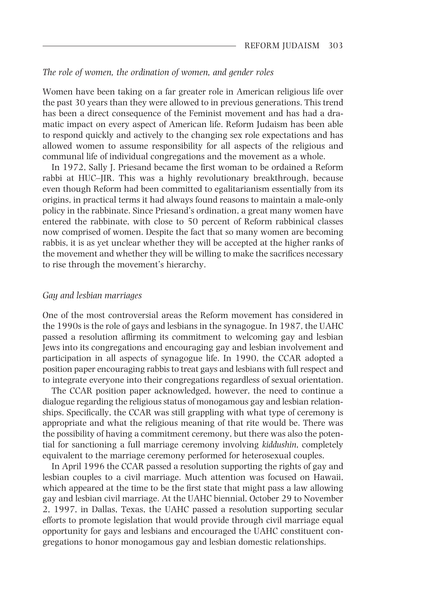# *The role of women, the ordination of women, and gender roles*

Women have been taking on a far greater role in American religious life over the past 30 years than they were allowed to in previous generations. This trend has been a direct consequence of the Feminist movement and has had a dramatic impact on every aspect of American life. Reform Judaism has been able to respond quickly and actively to the changing sex role expectations and has allowed women to assume responsibility for all aspects of the religious and communal life of individual congregations and the movement as a whole.

In 1972, Sally J. Priesand became the first woman to be ordained a Reform rabbi at HUC–JIR. This was a highly revolutionary breakthrough, because even though Reform had been committed to egalitarianism essentially from its origins, in practical terms it had always found reasons to maintain a male-only policy in the rabbinate. Since Priesand's ordination, a great many women have entered the rabbinate, with close to 50 percent of Reform rabbinical classes now comprised of women. Despite the fact that so many women are becoming rabbis, it is as yet unclear whether they will be accepted at the higher ranks of the movement and whether they will be willing to make the sacrifices necessary to rise through the movement's hierarchy.

## *Gay and lesbian marriages*

One of the most controversial areas the Reform movement has considered in the 1990s is the role of gays and lesbians in the synagogue. In 1987, the UAHC passed a resolution affirming its commitment to welcoming gay and lesbian Jews into its congregations and encouraging gay and lesbian involvement and participation in all aspects of synagogue life. In 1990, the CCAR adopted a position paper encouraging rabbis to treat gays and lesbians with full respect and to integrate everyone into their congregations regardless of sexual orientation.

The CCAR position paper acknowledged, however, the need to continue a dialogue regarding the religious status of monogamous gay and lesbian relationships. Specifically, the CCAR was still grappling with what type of ceremony is appropriate and what the religious meaning of that rite would be. There was the possibility of having a commitment ceremony, but there was also the potential for sanctioning a full marriage ceremony involving *kiddushin*, completely equivalent to the marriage ceremony performed for heterosexual couples.

In April 1996 the CCAR passed a resolution supporting the rights of gay and lesbian couples to a civil marriage. Much attention was focused on Hawaii, which appeared at the time to be the first state that might pass a law allowing gay and lesbian civil marriage. At the UAHC biennial, October 29 to November 2, 1997, in Dallas, Texas, the UAHC passed a resolution supporting secular efforts to promote legislation that would provide through civil marriage equal opportunity for gays and lesbians and encouraged the UAHC constituent congregations to honor monogamous gay and lesbian domestic relationships.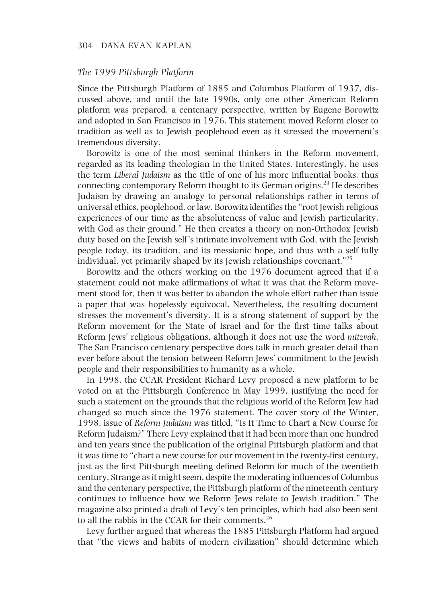# *The 1999 Pittsburgh Platform*

Since the Pittsburgh Platform of 1885 and Columbus Platform of 1937, discussed above, and until the late 1990s, only one other American Reform platform was prepared, a centenary perspective, written by Eugene Borowitz and adopted in San Francisco in 1976. This statement moved Reform closer to tradition as well as to Jewish peoplehood even as it stressed the movement's tremendous diversity.

Borowitz is one of the most seminal thinkers in the Reform movement, regarded as its leading theologian in the United States. Interestingly, he uses the term *Liberal Judaism* as the title of one of his more influential books, thus connecting contemporary Reform thought to its German origins.24 He describes Judaism by drawing an analogy to personal relationships rather in terms of universal ethics, peoplehood, or law. Borowitz identifies the "root Jewish religious experiences of our time as the absoluteness of value and Jewish particularity, with God as their ground." He then creates a theory on non-Orthodox Jewish duty based on the Jewish self 's intimate involvement with God, with the Jewish people today, its tradition, and its messianic hope, and thus with a self fully individual, yet primarily shaped by its Jewish relationships covenant."25

Borowitz and the others working on the 1976 document agreed that if a statement could not make affirmations of what it was that the Reform movement stood for, then it was better to abandon the whole effort rather than issue a paper that was hopelessly equivocal. Nevertheless, the resulting document stresses the movement's diversity. It is a strong statement of support by the Reform movement for the State of Israel and for the first time talks about Reform Jews' religious obligations, although it does not use the word *mitzvah*. The San Francisco centenary perspective does talk in much greater detail than ever before about the tension between Reform Jews' commitment to the Jewish people and their responsibilities to humanity as a whole.

In 1998, the CCAR President Richard Levy proposed a new platform to be voted on at the Pittsburgh Conference in May 1999, justifying the need for such a statement on the grounds that the religious world of the Reform Jew had changed so much since the 1976 statement. The cover story of the Winter, 1998, issue of *Reform Judaism* was titled, "Is It Time to Chart a New Course for Reform Judaism?" There Levy explained that it had been more than one hundred and ten years since the publication of the original Pittsburgh platform and that it was time to "chart a new course for our movement in the twenty-first century, just as the first Pittsburgh meeting defined Reform for much of the twentieth century. Strange as it might seem, despite the moderating influences of Columbus and the centenary perspective, the Pittsburgh platform of the nineteenth century continues to influence how we Reform Jews relate to Jewish tradition." The magazine also printed a draft of Levy's ten principles, which had also been sent to all the rabbis in the CCAR for their comments.<sup>26</sup>

Levy further argued that whereas the 1885 Pittsburgh Platform had argued that "the views and habits of modern civilization" should determine which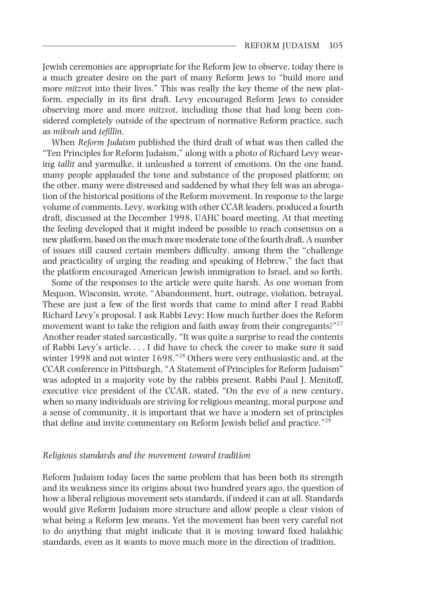Jewish ceremonies are appropriate for the Reform Jew to observe, today there is a much greater desire on the part of many Reform Jews to "build more and more *mitzvot* into their lives." This was really the key theme of the new platform, especially in its first draft. Levy encouraged Reform Jews to consider observing more and more *mitzvot*, including those that had long been considered completely outside of the spectrum of normative Reform practice, such as *mikvah* and *tefillin*.

When *Reform Judaism* published the third draft of what was then called the "Ten Principles for Reform Judaism," along with a photo of Richard Levy wearing *tallit* and yarmulke, it unleashed a torrent of emotions. On the one hand, many people applauded the tone and substance of the proposed platform; on the other, many were distressed and saddened by what they felt was an abrogation of the historical positions of the Reform movement. In response to the large volume of comments, Levy, working with other CCAR leaders, produced a fourth draft, discussed at the December 1998, UAHC board meeting. At that meeting the feeling developed that it might indeed be possible to reach consensus on a new platform, based on the much more moderate tone of the fourth draft. A number of issues still caused certain members difficulty, among them the "challenge and practicality of urging the reading and speaking of Hebrew," the fact that the platform encouraged American Jewish immigration to Israel, and so forth.

Some of the responses to the article were quite harsh. As one woman from Mequon, Wisconsin, wrote, "Abandonment, hurt, outrage, violation, betrayal. These are just a few of the first words that came to mind after I read Rabbi Richard Levy's proposal. I ask Rabbi Levy: How much further does the Reform movement want to take the religion and faith away from their congregants?"<sup>27</sup> Another reader stated sarcastically, "It was quite a surprise to read the contents of Rabbi Levy's article. . . . I did have to check the cover to make sure it said winter 1998 and not winter 1698."<sup>28</sup> Others were very enthusiastic and, at the CCAR conference in Pittsburgh, "A Statement of Principles for Reform Judaism" was adopted in a majority vote by the rabbis present. Rabbi Paul J. Menitoff, executive vice president of the CCAR, stated, "On the eve of a new century, when so many individuals are striving for religious meaning, moral purpose and a sense of community, it is important that we have a modern set of principles that define and invite commentary on Reform Jewish belief and practice."<sup>29</sup>

# *Religious standards and the movement toward tradition*

Reform Judaism today faces the same problem that has been both its strength and its weakness since its origins about two hundred years ago, the question of how a liberal religious movement sets standards, if indeed it can at all. Standards would give Reform Judaism more structure and allow people a clear vision of what being a Reform Jew means. Yet the movement has been very careful not to do anything that might indicate that it is moving toward fixed halakhic standards, even as it wants to move much more in the direction of tradition.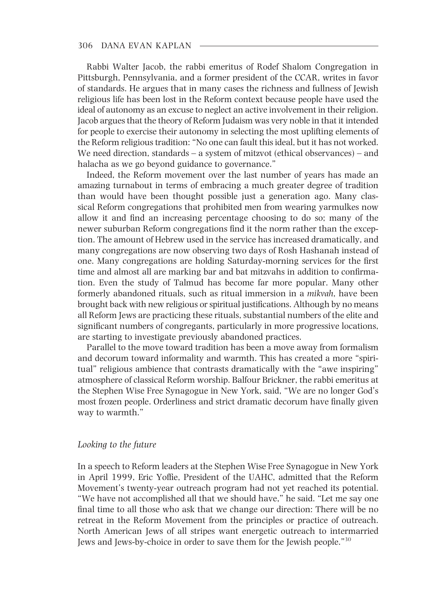Rabbi Walter Jacob, the rabbi emeritus of Rodef Shalom Congregation in Pittsburgh, Pennsylvania, and a former president of the CCAR, writes in favor of standards. He argues that in many cases the richness and fullness of Jewish religious life has been lost in the Reform context because people have used the ideal of autonomy as an excuse to neglect an active involvement in their religion. Jacob argues that the theory of Reform Judaism was very noble in that it intended for people to exercise their autonomy in selecting the most uplifting elements of the Reform religious tradition: "No one can fault this ideal, but it has not worked. We need direction, standards – a system of mitzvot (ethical observances) – and halacha as we go beyond guidance to governance."

Indeed, the Reform movement over the last number of years has made an amazing turnabout in terms of embracing a much greater degree of tradition than would have been thought possible just a generation ago. Many classical Reform congregations that prohibited men from wearing yarmulkes now allow it and find an increasing percentage choosing to do so; many of the newer suburban Reform congregations find it the norm rather than the exception. The amount of Hebrew used in the service has increased dramatically, and many congregations are now observing two days of Rosh Hashanah instead of one. Many congregations are holding Saturday-morning services for the first time and almost all are marking bar and bat mitzvahs in addition to confirmation. Even the study of Talmud has become far more popular. Many other formerly abandoned rituals, such as ritual immersion in a *mikvah*, have been brought back with new religious or spiritual justifications. Although by no means all Reform Jews are practicing these rituals, substantial numbers of the elite and significant numbers of congregants, particularly in more progressive locations, are starting to investigate previously abandoned practices.

Parallel to the move toward tradition has been a move away from formalism and decorum toward informality and warmth. This has created a more "spiritual" religious ambience that contrasts dramatically with the "awe inspiring" atmosphere of classical Reform worship. Balfour Brickner, the rabbi emeritus at the Stephen Wise Free Synagogue in New York, said, "We are no longer God's most frozen people. Orderliness and strict dramatic decorum have finally given way to warmth."

# *Looking to the future*

In a speech to Reform leaders at the Stephen Wise Free Synagogue in New York in April 1999, Eric Yoffie, President of the UAHC, admitted that the Reform Movement's twenty-year outreach program had not yet reached its potential. "We have not accomplished all that we should have," he said. "Let me say one final time to all those who ask that we change our direction: There will be no retreat in the Reform Movement from the principles or practice of outreach. North American Jews of all stripes want energetic outreach to intermarried Jews and Jews-by-choice in order to save them for the Jewish people."30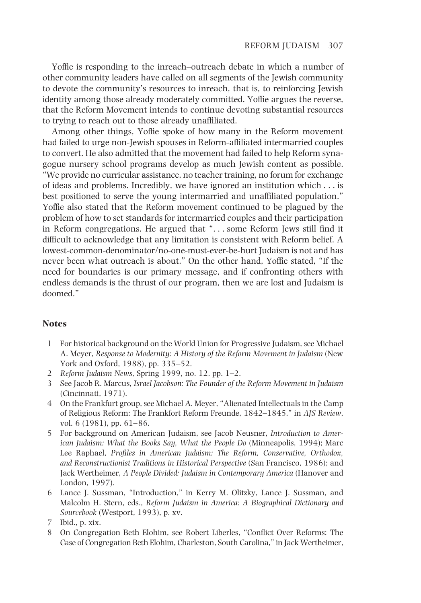Yoffie is responding to the inreach–outreach debate in which a number of other community leaders have called on all segments of the Jewish community to devote the community's resources to inreach, that is, to reinforcing Jewish identity among those already moderately committed. Yoffie argues the reverse, that the Reform Movement intends to continue devoting substantial resources to trying to reach out to those already unaffiliated.

Among other things, Yoffie spoke of how many in the Reform movement had failed to urge non-Jewish spouses in Reform-affiliated intermarried couples to convert. He also admitted that the movement had failed to help Reform synagogue nursery school programs develop as much Jewish content as possible. "We provide no curricular assistance, no teacher training, no forum for exchange of ideas and problems. Incredibly, we have ignored an institution which . . . is best positioned to serve the young intermarried and unaffiliated population." Yoffie also stated that the Reform movement continued to be plagued by the problem of how to set standards for intermarried couples and their participation in Reform congregations. He argued that ". . . some Reform Jews still find it difficult to acknowledge that any limitation is consistent with Reform belief. A lowest-common-denominator/no-one-must-ever-be-hurt Judaism is not and has never been what outreach is about." On the other hand, Yoffie stated, "If the need for boundaries is our primary message, and if confronting others with endless demands is the thrust of our program, then we are lost and Judaism is doomed."

# **Notes**

- 1 For historical background on the World Union for Progressive Judaism, see Michael A. Meyer, *Response to Modernity: A History of the Reform Movement in Judaism* (New York and Oxford, 1988), pp. 335–52.
- 2 *Reform Judaism News*, Spring 1999, no. 12, pp. 1–2.
- 3 See Jacob R. Marcus, *Israel Jacobson: The Founder of the Reform Movement in Judaism* (Cincinnati, 1971).
- 4 On the Frankfurt group, see Michael A. Meyer, "Alienated Intellectuals in the Camp of Religious Reform: The Frankfort Reform Freunde, 1842–1845," in *AJS Review*, vol. 6 (1981), pp. 61–86.
- 5 For background on American Judaism, see Jacob Neusner, *Introduction to American Judaism: What the Books Say, What the People Do* (Minneapolis, 1994); Marc Lee Raphael, *Profiles in American Judaism: The Reform, Conservative, Orthodox, and Reconstructionist Traditions in Historical Perspective* (San Francisco, 1986); and Jack Wertheimer, *A People Divided: Judaism in Contemporary America* (Hanover and London, 1997).
- 6 Lance J. Sussman, "Introduction," in Kerry M. Olitzky, Lance J. Sussman, and Malcolm H. Stern, eds., *Reform Judaism in America: A Biographical Dictionary and Sourcebook* (Westport, 1993), p. xv.
- 7 Ibid., p. xix.
- 8 On Congregation Beth Elohim, see Robert Liberles, "Conflict Over Reforms: The Case of Congregation Beth Elohim, Charleston, South Carolina," in Jack Wertheimer,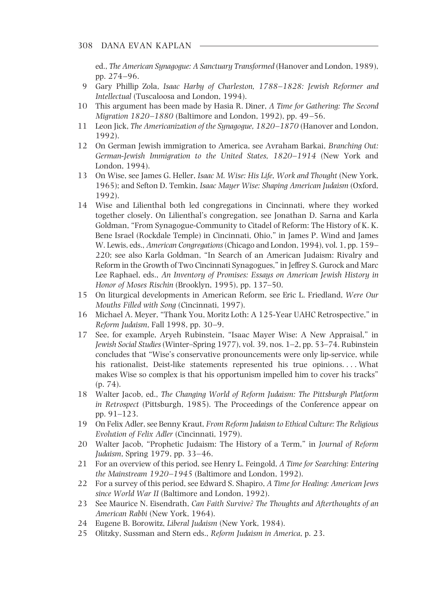ed., *The American Synagogue: A Sanctuary Transformed* (Hanover and London, 1989), pp. 274–96.

- 9 Gary Phillip Zola, *Isaac Harby of Charleston, 1788–1828: Jewish Reformer and Intellectual* (Tuscaloosa and London, 1994).
- 10 This argument has been made by Hasia R. Diner, *A Time for Gathering: The Second Migration 1820–1880* (Baltimore and London, 1992), pp. 49–56.
- 11 Leon Jick, *The Americanization of the Synagogue, 1820–1870* (Hanover and London, 1992).
- 12 On German Jewish immigration to America, see Avraham Barkai, *Branching Out: German-Jewish Immigration to the United States, 1820–1914* (New York and London, 1994).
- 13 On Wise, see James G. Heller, *Isaac M. Wise: His Life, Work and Thought* (New York, 1965); and Sefton D. Temkin, *Isaac Mayer Wise: Shaping American Judaism* (Oxford, 1992).
- 14 Wise and Lilienthal both led congregations in Cincinnati, where they worked together closely. On Lilienthal's congregation, see Jonathan D. Sarna and Karla Goldman, "From Synagogue-Community to Citadel of Reform: The History of K. K. Bene Israel (Rockdale Temple) in Cincinnati, Ohio," in James P. Wind and James W. Lewis, eds., *American Congregations* (Chicago and London, 1994), vol. 1, pp. 159– 220; see also Karla Goldman, "In Search of an American Judaism: Rivalry and Reform in the Growth of Two Cincinnati Synagogues," in Jeffrey S. Gurock and Marc Lee Raphael, eds., *An Inventory of Promises: Essays on American Jewish History in Honor of Moses Rischin* (Brooklyn, 1995), pp. 137–50.
- 15 On liturgical developments in American Reform, see Eric L. Friedland, *Were Our Mouths Filled with Song* (Cincinnati, 1997).
- 16 Michael A. Meyer, "Thank You, Moritz Loth: A 125-Year UAHC Retrospective," in *Reform Judaism*, Fall 1998, pp. 30–9.
- 17 See, for example, Aryeh Rubinstein, "Isaac Mayer Wise: A New Appraisal," in *Jewish Social Studies* (Winter–Spring 1977), vol. 39, nos. 1–2, pp. 53–74. Rubinstein concludes that "Wise's conservative pronouncements were only lip-service, while his rationalist, Deist-like statements represented his true opinions. . . . What makes Wise so complex is that his opportunism impelled him to cover his tracks" (p. 74).
- 18 Walter Jacob, ed., *The Changing World of Reform Judaism: The Pittsburgh Platform in Retrospect* (Pittsburgh, 1985). The Proceedings of the Conference appear on pp. 91–123.
- 19 On Felix Adler, see Benny Kraut, *From Reform Judaism to Ethical Culture: The Religious Evolution of Felix Adler* (Cincinnati, 1979).
- 20 Walter Jacob, "Prophetic Judaism: The History of a Term," in *Journal of Reform Judaism*, Spring 1979, pp. 33–46.
- 21 For an overview of this period, see Henry L. Feingold, *A Time for Searching: Entering the Mainstream 1920–1945* (Baltimore and London, 1992).
- 22 For a survey of this period, see Edward S. Shapiro, *A Time for Healing: American Jews since World War II* (Baltimore and London, 1992).
- 23 See Maurice N. Eisendrath, *Can Faith Survive? The Thoughts and Afterthoughts of an American Rabbi* (New York, 1964).
- 24 Eugene B. Borowitz, *Liberal Judaism* (New York, 1984).
- 25 Olitzky, Sussman and Stern eds., *Reform Judaism in America*, p. 23.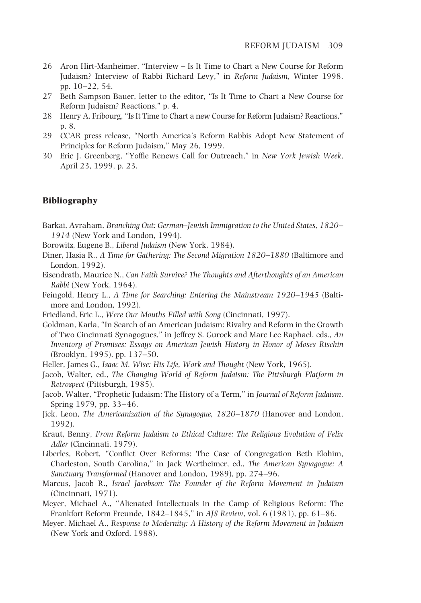- 26 Aron Hirt-Manheimer, "Interview Is It Time to Chart a New Course for Reform Judaism? Interview of Rabbi Richard Levy," in *Reform Judaism*, Winter 1998, pp. 10–22, 54.
- 27 Beth Sampson Bauer, letter to the editor, "Is It Time to Chart a New Course for Reform Judaism? Reactions," p. 4.
- 28 Henry A. Fribourg, "Is It Time to Chart a new Course for Reform Judaism? Reactions," p. 8.
- 29 CCAR press release, "North America's Reform Rabbis Adopt New Statement of Principles for Reform Judaism," May 26, 1999.
- 30 Eric J. Greenberg, "Yoffie Renews Call for Outreach," in *New York Jewish Week*, April 23, 1999, p. 23.

# **Bibliography**

- Barkai, Avraham, *Branching Out: German–Jewish Immigration to the United States, 1820– 1914* (New York and London, 1994).
- Borowitz, Eugene B., *Liberal Judaism* (New York, 1984).
- Diner, Hasia R., *A Time for Gathering: The Second Migration 1820–1880* (Baltimore and London, 1992).
- Eisendrath, Maurice N., *Can Faith Survive? The Thoughts and Afterthoughts of an American Rabbi* (New York, 1964).
- Feingold, Henry L., *A Time for Searching: Entering the Mainstream 1920–1945* (Baltimore and London, 1992).
- Friedland, Eric L., *Were Our Mouths Filled with Song* (Cincinnati, 1997).
- Goldman, Karla, "In Search of an American Judaism: Rivalry and Reform in the Growth of Two Cincinnati Synagogues," in Jeffrey S. Gurock and Marc Lee Raphael, eds., *An Inventory of Promises: Essays on American Jewish History in Honor of Moses Rischin* (Brooklyn, 1995), pp. 137–50.
- Heller, James G., *Isaac M. Wise: His Life, Work and Thought* (New York, 1965).
- Jacob, Walter, ed., *The Changing World of Reform Judaism: The Pittsburgh Platform in Retrospect* (Pittsburgh, 1985).
- Jacob, Walter, "Prophetic Judaism: The History of a Term," in *Journal of Reform Judaism*, Spring 1979, pp. 33–46.
- Jick, Leon, *The Americanization of the Synagogue, 1820–1870* (Hanover and London, 1992).
- Kraut, Benny, *From Reform Judaism to Ethical Culture: The Religious Evolution of Felix Adler* (Cincinnati, 1979).
- Liberles, Robert, "Conflict Over Reforms: The Case of Congregation Beth Elohim, Charleston, South Carolina," in Jack Wertheimer, ed., *The American Synagogue: A Sanctuary Transformed* (Hanover and London, 1989), pp. 274–96.
- Marcus, Jacob R., *Israel Jacobson: The Founder of the Reform Movement in Judaism* (Cincinnati, 1971).
- Meyer, Michael A., "Alienated Intellectuals in the Camp of Religious Reform: The Frankfort Reform Freunde, 1842–1845," in *AJS Review*, vol. 6 (1981), pp. 61–86.
- Meyer, Michael A., *Response to Modernity: A History of the Reform Movement in Judaism* (New York and Oxford, 1988).